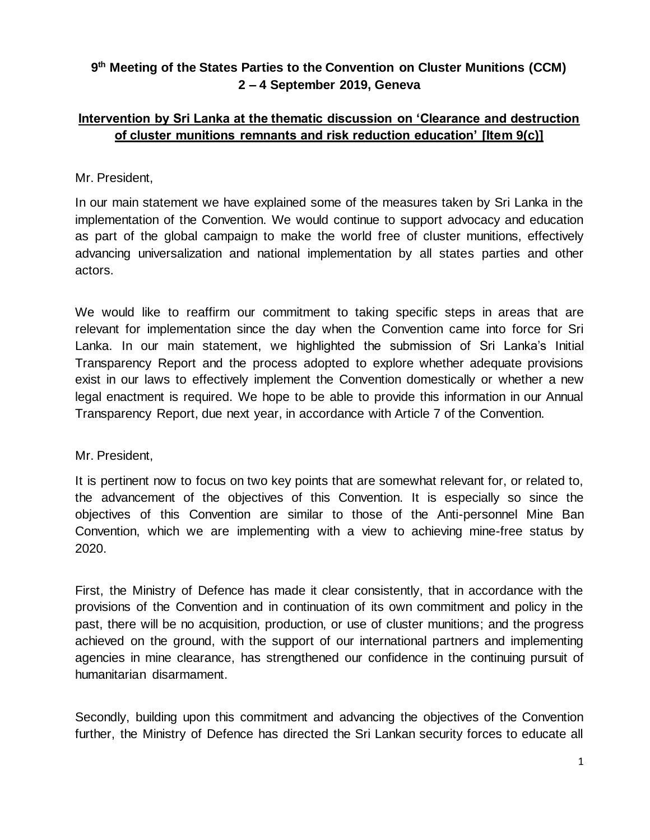## **9 th Meeting of the States Parties to the Convention on Cluster Munitions (CCM) 2 – 4 September 2019, Geneva**

## **Intervention by Sri Lanka at the thematic discussion on 'Clearance and destruction of cluster munitions remnants and risk reduction education' [Item 9(c)]**

## Mr. President,

In our main statement we have explained some of the measures taken by Sri Lanka in the implementation of the Convention. We would continue to support advocacy and education as part of the global campaign to make the world free of cluster munitions, effectively advancing universalization and national implementation by all states parties and other actors.

We would like to reaffirm our commitment to taking specific steps in areas that are relevant for implementation since the day when the Convention came into force for Sri Lanka. In our main statement, we highlighted the submission of Sri Lanka's Initial Transparency Report and the process adopted to explore whether adequate provisions exist in our laws to effectively implement the Convention domestically or whether a new legal enactment is required. We hope to be able to provide this information in our Annual Transparency Report, due next year, in accordance with Article 7 of the Convention.

## Mr. President,

It is pertinent now to focus on two key points that are somewhat relevant for, or related to, the advancement of the objectives of this Convention. It is especially so since the objectives of this Convention are similar to those of the Anti-personnel Mine Ban Convention, which we are implementing with a view to achieving mine-free status by 2020.

First, the Ministry of Defence has made it clear consistently, that in accordance with the provisions of the Convention and in continuation of its own commitment and policy in the past, there will be no acquisition, production, or use of cluster munitions; and the progress achieved on the ground, with the support of our international partners and implementing agencies in mine clearance, has strengthened our confidence in the continuing pursuit of humanitarian disarmament.

Secondly, building upon this commitment and advancing the objectives of the Convention further, the Ministry of Defence has directed the Sri Lankan security forces to educate all